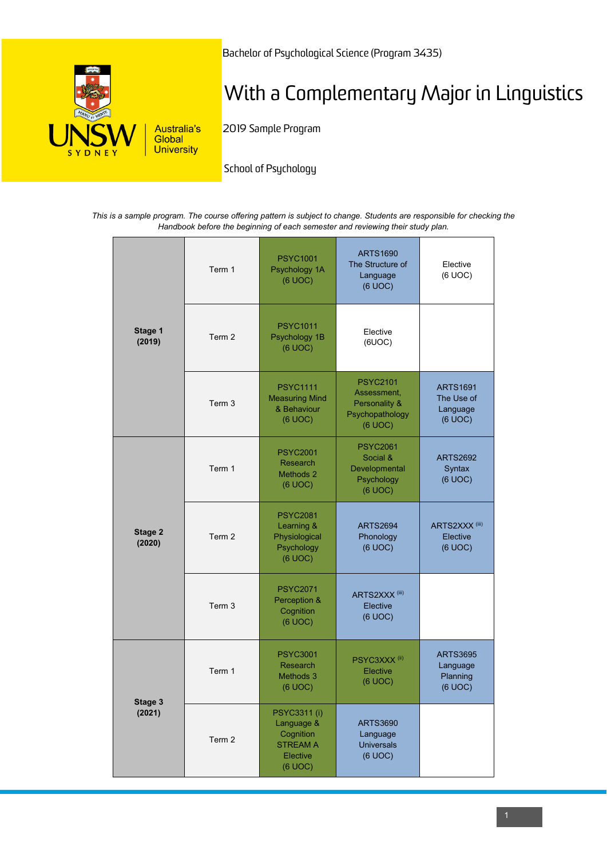

Bachelor of Psychological Science (Program 3435)

# With a Complementary Major in Linguistics

2019 Sample Program

School of Psychology

*This is a sample program. The course offering pattern is subject to change. Students are responsible for checking the Handbook before the beginning of each semester and reviewing their study plan.*

| Stage 1<br>(2019) | Term 1 | <b>PSYC1001</b><br>Psychology 1A<br>(6 UOC)                                                     | <b>ARTS1690</b><br>The Structure of<br>Language<br>(6 UOC)                    | Elective<br>(6 UOC)                                  |
|-------------------|--------|-------------------------------------------------------------------------------------------------|-------------------------------------------------------------------------------|------------------------------------------------------|
|                   | Term 2 | <b>PSYC1011</b><br>Psychology 1B<br>(6 UOC)                                                     | Elective<br>(6UOC)                                                            |                                                      |
|                   | Term 3 | <b>PSYC1111</b><br><b>Measuring Mind</b><br>& Behaviour<br>(6 UOC)                              | <b>PSYC2101</b><br>Assessment,<br>Personality &<br>Psychopathology<br>(6 UOC) | <b>ARTS1691</b><br>The Use of<br>Language<br>(6 UOC) |
| Stage 2<br>(2020) | Term 1 | <b>PSYC2001</b><br>Research<br>Methods 2<br>(6 UOC)                                             | <b>PSYC2061</b><br>Social &<br>Developmental<br>Psychology<br>(6 UOC)         | <b>ARTS2692</b><br>Syntax<br>(6 UOC)                 |
|                   | Term 2 | <b>PSYC2081</b><br>Learning &<br>Physiological<br>Psychology<br>(6 UOC)                         | <b>ARTS2694</b><br>Phonology<br>(6 UOC)                                       | ARTS2XXX <sup>(iii)</sup><br>Elective<br>(6 UOC)     |
|                   | Term 3 | <b>PSYC2071</b><br>Perception &<br>Cognition<br>(6 UOC)                                         | ARTS2XXX <sup>(iii)</sup><br>Elective<br>(6 UOC)                              |                                                      |
| Stage 3<br>(2021) | Term 1 | <b>PSYC3001</b><br>Research<br>Methods 3<br>(6 UOC)                                             | PSYC3XXX <sup>(ii)</sup><br><b>Elective</b><br>(6 UOC)                        | <b>ARTS3695</b><br>Language<br>Planning<br>(6 UOC)   |
|                   | Term 2 | <b>PSYC3311 (i)</b><br>Language &<br>Cognition<br><b>STREAM A</b><br><b>Elective</b><br>(6 UOC) | <b>ARTS3690</b><br>Language<br><b>Universals</b><br>(6 UOC)                   |                                                      |